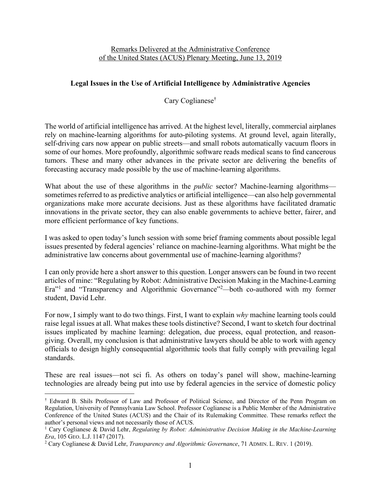## Remarks Delivered at the Administrative Conference of the United States (ACUS) Plenary Meeting, June 13, 2019

## **Legal Issues in the Use of Artificial Intelligence by Administrative Agencies**

Cary Coglianese†

The world of artificial intelligence has arrived. At the highest level, literally, commercial airplanes rely on machine-learning algorithms for auto-piloting systems. At ground level, again literally, self-driving cars now appear on public streets—and small robots automatically vacuum floors in some of our homes. More profoundly, algorithmic software reads medical scans to find cancerous tumors. These and many other advances in the private sector are delivering the benefits of forecasting accuracy made possible by the use of machine-learning algorithms.

What about the use of these algorithms in the *public* sector? Machine-learning algorithms sometimes referred to as predictive analytics or artificial intelligence—can also help governmental organizations make more accurate decisions. Just as these algorithms have facilitated dramatic innovations in the private sector, they can also enable governments to achieve better, fairer, and more efficient performance of key functions.

I was asked to open today's lunch session with some brief framing comments about possible legal issues presented by federal agencies' reliance on machine-learning algorithms. What might be the administrative law concerns about governmental use of machine-learning algorithms?

I can only provide here a short answer to this question. Longer answers can be found in two recent articles of mine: "Regulating by Robot: Administrative Decision Making in the Machine-Learning Era"<sup>1</sup> and "Transparency and Algorithmic Governance"<sup>2</sup>—both co-authored with my former student, David Lehr.

For now, I simply want to do two things. First, I want to explain *why* machine learning tools could raise legal issues at all. What makes these tools distinctive? Second, I want to sketch four doctrinal issues implicated by machine learning: delegation, due process, equal protection, and reasongiving. Overall, my conclusion is that administrative lawyers should be able to work with agency officials to design highly consequential algorithmic tools that fully comply with prevailing legal standards.

These are real issues—not sci fi. As others on today's panel will show, machine-learning technologies are already being put into use by federal agencies in the service of domestic policy

 $\overline{a}$ 

<sup>†</sup> Edward B. Shils Professor of Law and Professor of Political Science, and Director of the Penn Program on Regulation, University of Pennsylvania Law School. Professor Coglianese is a Public Member of the Administrative Conference of the United States (ACUS) and the Chair of its Rulemaking Committee. These remarks reflect the author's personal views and not necessarily those of ACUS.

<sup>1</sup> Cary Coglianese & David Lehr, *Regulating by Robot: Administrative Decision Making in the Machine-Learning Era*, 105 GEO. L.J. 1147 (2017).

<sup>2</sup> Cary Coglianese & David Lehr, *Transparency and Algorithmic Governance*, 71 ADMIN. L. REV. 1 (2019).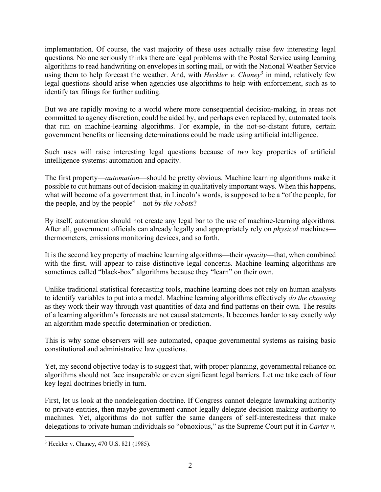implementation. Of course, the vast majority of these uses actually raise few interesting legal questions. No one seriously thinks there are legal problems with the Postal Service using learning algorithms to read handwriting on envelopes in sorting mail, or with the National Weather Service using them to help forecast the weather. And, with *Heckler v. Chaney*<sup>3</sup> in mind, relatively few legal questions should arise when agencies use algorithms to help with enforcement, such as to identify tax filings for further auditing.

But we are rapidly moving to a world where more consequential decision-making, in areas not committed to agency discretion, could be aided by, and perhaps even replaced by, automated tools that run on machine-learning algorithms. For example, in the not-so-distant future, certain government benefits or licensing determinations could be made using artificial intelligence.

Such uses will raise interesting legal questions because of *two* key properties of artificial intelligence systems: automation and opacity.

The first property—*automation*—should be pretty obvious. Machine learning algorithms make it possible to cut humans out of decision-making in qualitatively important ways. When this happens, what will become of a government that, in Lincoln's words, is supposed to be a "of the people, for the people, and by the people"—not *by the robots*?

By itself, automation should not create any legal bar to the use of machine-learning algorithms. After all, government officials can already legally and appropriately rely on *physical* machines thermometers, emissions monitoring devices, and so forth.

It is the second key property of machine learning algorithms—their *opacity*—that, when combined with the first, will appear to raise distinctive legal concerns. Machine learning algorithms are sometimes called "black-box" algorithms because they "learn" on their own.

Unlike traditional statistical forecasting tools, machine learning does not rely on human analysts to identify variables to put into a model. Machine learning algorithms effectively *do the choosing* as they work their way through vast quantities of data and find patterns on their own. The results of a learning algorithm's forecasts are not causal statements. It becomes harder to say exactly *why* an algorithm made specific determination or prediction.

This is why some observers will see automated, opaque governmental systems as raising basic constitutional and administrative law questions.

Yet, my second objective today is to suggest that, with proper planning, governmental reliance on algorithms should not face insuperable or even significant legal barriers. Let me take each of four key legal doctrines briefly in turn.

First, let us look at the nondelegation doctrine. If Congress cannot delegate lawmaking authority to private entities, then maybe government cannot legally delegate decision-making authority to machines. Yet, algorithms do not suffer the same dangers of self-interestedness that make delegations to private human individuals so "obnoxious," as the Supreme Court put it in *Carter v.* 

 $\overline{a}$ <sup>3</sup> Heckler v. Chaney, 470 U.S. 821 (1985).